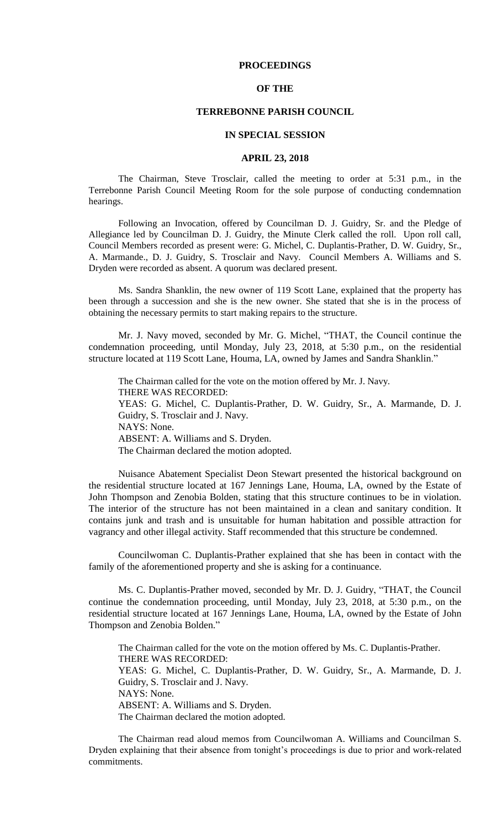# **PROCEEDINGS**

## **OF THE**

# **TERREBONNE PARISH COUNCIL**

#### **IN SPECIAL SESSION**

#### **APRIL 23, 2018**

The Chairman, Steve Trosclair, called the meeting to order at 5:31 p.m., in the Terrebonne Parish Council Meeting Room for the sole purpose of conducting condemnation hearings.

Following an Invocation, offered by Councilman D. J. Guidry, Sr. and the Pledge of Allegiance led by Councilman D. J. Guidry, the Minute Clerk called the roll. Upon roll call, Council Members recorded as present were: G. Michel, C. Duplantis-Prather, D. W. Guidry, Sr., A. Marmande., D. J. Guidry, S. Trosclair and Navy. Council Members A. Williams and S. Dryden were recorded as absent. A quorum was declared present.

Ms. Sandra Shanklin, the new owner of 119 Scott Lane, explained that the property has been through a succession and she is the new owner. She stated that she is in the process of obtaining the necessary permits to start making repairs to the structure.

Mr. J. Navy moved, seconded by Mr. G. Michel, "THAT, the Council continue the condemnation proceeding, until Monday, July 23, 2018, at 5:30 p.m., on the residential structure located at 119 Scott Lane, Houma, LA, owned by James and Sandra Shanklin."

The Chairman called for the vote on the motion offered by Mr. J. Navy. THERE WAS RECORDED: YEAS: G. Michel, C. Duplantis-Prather, D. W. Guidry, Sr., A. Marmande, D. J. Guidry, S. Trosclair and J. Navy. NAYS: None. ABSENT: A. Williams and S. Dryden. The Chairman declared the motion adopted.

Nuisance Abatement Specialist Deon Stewart presented the historical background on the residential structure located at 167 Jennings Lane, Houma, LA, owned by the Estate of John Thompson and Zenobia Bolden, stating that this structure continues to be in violation. The interior of the structure has not been maintained in a clean and sanitary condition. It contains junk and trash and is unsuitable for human habitation and possible attraction for vagrancy and other illegal activity. Staff recommended that this structure be condemned.

Councilwoman C. Duplantis-Prather explained that she has been in contact with the family of the aforementioned property and she is asking for a continuance.

Ms. C. Duplantis-Prather moved, seconded by Mr. D. J. Guidry, "THAT, the Council continue the condemnation proceeding, until Monday, July 23, 2018, at 5:30 p.m., on the residential structure located at 167 Jennings Lane, Houma, LA, owned by the Estate of John Thompson and Zenobia Bolden."

The Chairman called for the vote on the motion offered by Ms. C. Duplantis-Prather. THERE WAS RECORDED: YEAS: G. Michel, C. Duplantis-Prather, D. W. Guidry, Sr., A. Marmande, D. J. Guidry, S. Trosclair and J. Navy. NAYS: None. ABSENT: A. Williams and S. Dryden. The Chairman declared the motion adopted.

The Chairman read aloud memos from Councilwoman A. Williams and Councilman S. Dryden explaining that their absence from tonight's proceedings is due to prior and work-related commitments.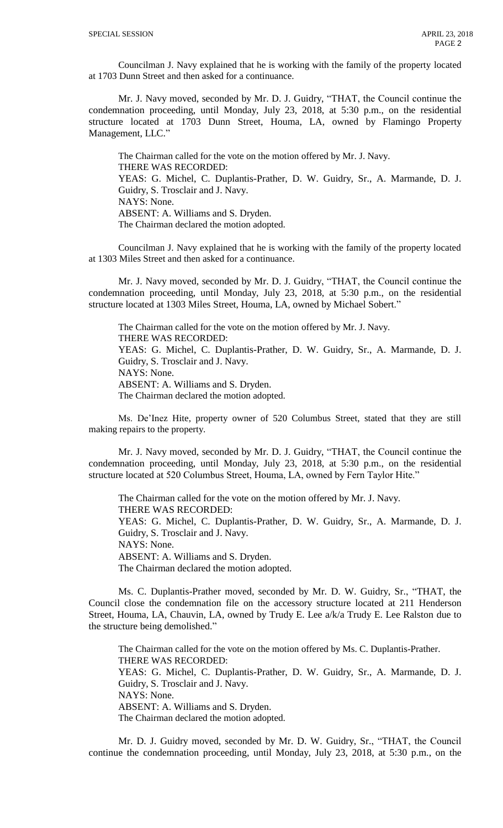Councilman J. Navy explained that he is working with the family of the property located at 1703 Dunn Street and then asked for a continuance.

Mr. J. Navy moved, seconded by Mr. D. J. Guidry, "THAT, the Council continue the condemnation proceeding, until Monday, July 23, 2018, at 5:30 p.m., on the residential structure located at 1703 Dunn Street, Houma, LA, owned by Flamingo Property Management, LLC."

The Chairman called for the vote on the motion offered by Mr. J. Navy. THERE WAS RECORDED: YEAS: G. Michel, C. Duplantis-Prather, D. W. Guidry, Sr., A. Marmande, D. J. Guidry, S. Trosclair and J. Navy. NAYS: None. ABSENT: A. Williams and S. Dryden. The Chairman declared the motion adopted.

Councilman J. Navy explained that he is working with the family of the property located at 1303 Miles Street and then asked for a continuance.

Mr. J. Navy moved, seconded by Mr. D. J. Guidry, "THAT, the Council continue the condemnation proceeding, until Monday, July 23, 2018, at 5:30 p.m., on the residential structure located at 1303 Miles Street, Houma, LA, owned by Michael Sobert."

The Chairman called for the vote on the motion offered by Mr. J. Navy. THERE WAS RECORDED: YEAS: G. Michel, C. Duplantis-Prather, D. W. Guidry, Sr., A. Marmande, D. J. Guidry, S. Trosclair and J. Navy. NAYS: None. ABSENT: A. Williams and S. Dryden. The Chairman declared the motion adopted.

Ms. De'Inez Hite, property owner of 520 Columbus Street, stated that they are still making repairs to the property.

Mr. J. Navy moved, seconded by Mr. D. J. Guidry, "THAT, the Council continue the condemnation proceeding, until Monday, July 23, 2018, at 5:30 p.m., on the residential structure located at 520 Columbus Street, Houma, LA, owned by Fern Taylor Hite."

The Chairman called for the vote on the motion offered by Mr. J. Navy. THERE WAS RECORDED: YEAS: G. Michel, C. Duplantis-Prather, D. W. Guidry, Sr., A. Marmande, D. J. Guidry, S. Trosclair and J. Navy. NAYS: None. ABSENT: A. Williams and S. Dryden. The Chairman declared the motion adopted.

Ms. C. Duplantis-Prather moved, seconded by Mr. D. W. Guidry, Sr., "THAT, the Council close the condemnation file on the accessory structure located at 211 Henderson Street, Houma, LA, Chauvin, LA, owned by Trudy E. Lee a/k/a Trudy E. Lee Ralston due to the structure being demolished."

The Chairman called for the vote on the motion offered by Ms. C. Duplantis-Prather. THERE WAS RECORDED: YEAS: G. Michel, C. Duplantis-Prather, D. W. Guidry, Sr., A. Marmande, D. J. Guidry, S. Trosclair and J. Navy. NAYS: None. ABSENT: A. Williams and S. Dryden. The Chairman declared the motion adopted.

Mr. D. J. Guidry moved, seconded by Mr. D. W. Guidry, Sr., "THAT, the Council continue the condemnation proceeding, until Monday, July 23, 2018, at 5:30 p.m., on the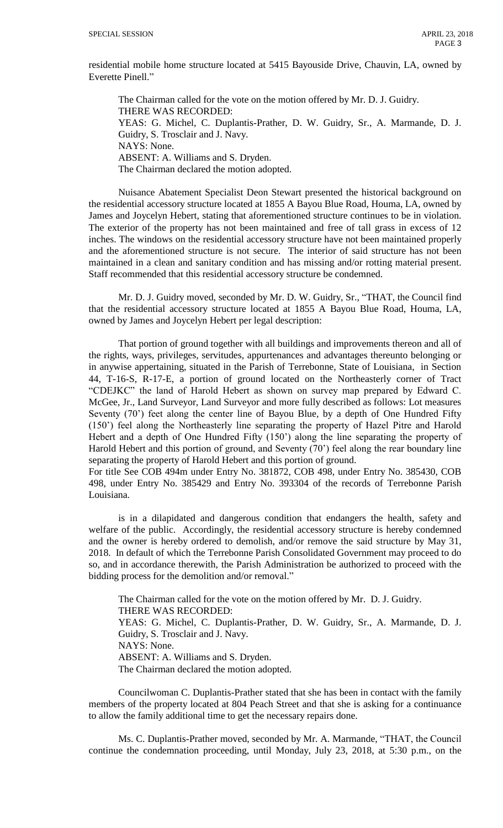residential mobile home structure located at 5415 Bayouside Drive, Chauvin, LA, owned by Everette Pinell."

The Chairman called for the vote on the motion offered by Mr. D. J. Guidry. THERE WAS RECORDED: YEAS: G. Michel, C. Duplantis-Prather, D. W. Guidry, Sr., A. Marmande, D. J. Guidry, S. Trosclair and J. Navy. NAYS: None. ABSENT: A. Williams and S. Dryden. The Chairman declared the motion adopted.

Nuisance Abatement Specialist Deon Stewart presented the historical background on the residential accessory structure located at 1855 A Bayou Blue Road, Houma, LA, owned by James and Joycelyn Hebert, stating that aforementioned structure continues to be in violation. The exterior of the property has not been maintained and free of tall grass in excess of 12 inches. The windows on the residential accessory structure have not been maintained properly and the aforementioned structure is not secure. The interior of said structure has not been maintained in a clean and sanitary condition and has missing and/or rotting material present. Staff recommended that this residential accessory structure be condemned.

Mr. D. J. Guidry moved, seconded by Mr. D. W. Guidry, Sr., "THAT, the Council find that the residential accessory structure located at 1855 A Bayou Blue Road, Houma, LA, owned by James and Joycelyn Hebert per legal description:

That portion of ground together with all buildings and improvements thereon and all of the rights, ways, privileges, servitudes, appurtenances and advantages thereunto belonging or in anywise appertaining, situated in the Parish of Terrebonne, State of Louisiana, in Section 44, T-16-S, R-17-E, a portion of ground located on the Northeasterly corner of Tract "CDEJKC" the land of Harold Hebert as shown on survey map prepared by Edward C. McGee, Jr., Land Surveyor, Land Surveyor and more fully described as follows: Lot measures Seventy (70') feet along the center line of Bayou Blue, by a depth of One Hundred Fifty (150') feel along the Northeasterly line separating the property of Hazel Pitre and Harold Hebert and a depth of One Hundred Fifty (150') along the line separating the property of Harold Hebert and this portion of ground, and Seventy (70<sup>o</sup>) feel along the rear boundary line separating the property of Harold Hebert and this portion of ground.

For title See COB 494m under Entry No. 381872, COB 498, under Entry No. 385430, COB 498, under Entry No. 385429 and Entry No. 393304 of the records of Terrebonne Parish Louisiana.

is in a dilapidated and dangerous condition that endangers the health, safety and welfare of the public. Accordingly, the residential accessory structure is hereby condemned and the owner is hereby ordered to demolish, and/or remove the said structure by May 31, 2018. In default of which the Terrebonne Parish Consolidated Government may proceed to do so, and in accordance therewith, the Parish Administration be authorized to proceed with the bidding process for the demolition and/or removal."

The Chairman called for the vote on the motion offered by Mr. D. J. Guidry. THERE WAS RECORDED: YEAS: G. Michel, C. Duplantis-Prather, D. W. Guidry, Sr., A. Marmande, D. J. Guidry, S. Trosclair and J. Navy. NAYS: None. ABSENT: A. Williams and S. Dryden. The Chairman declared the motion adopted.

Councilwoman C. Duplantis-Prather stated that she has been in contact with the family members of the property located at 804 Peach Street and that she is asking for a continuance to allow the family additional time to get the necessary repairs done.

Ms. C. Duplantis-Prather moved, seconded by Mr. A. Marmande, "THAT, the Council continue the condemnation proceeding, until Monday, July 23, 2018, at 5:30 p.m., on the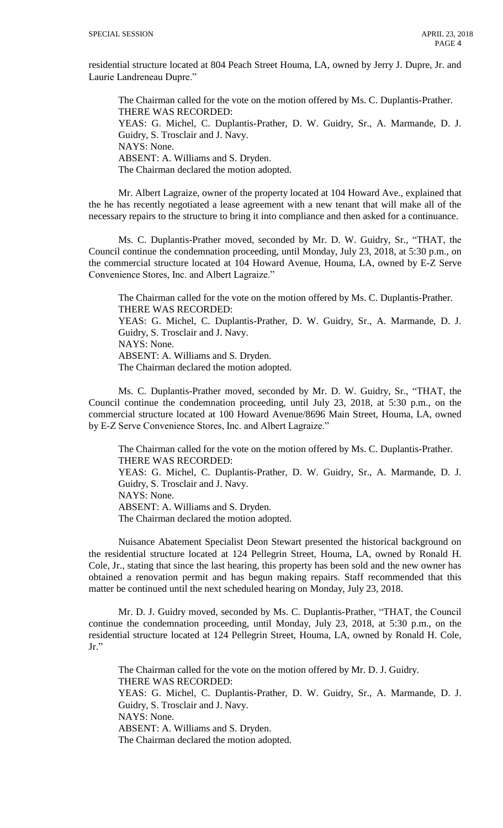residential structure located at 804 Peach Street Houma, LA, owned by Jerry J. Dupre, Jr. and Laurie Landreneau Dupre."

The Chairman called for the vote on the motion offered by Ms. C. Duplantis-Prather. THERE WAS RECORDED: YEAS: G. Michel, C. Duplantis-Prather, D. W. Guidry, Sr., A. Marmande, D. J. Guidry, S. Trosclair and J. Navy. NAYS: None. ABSENT: A. Williams and S. Dryden. The Chairman declared the motion adopted.

Mr. Albert Lagraize, owner of the property located at 104 Howard Ave., explained that the he has recently negotiated a lease agreement with a new tenant that will make all of the necessary repairs to the structure to bring it into compliance and then asked for a continuance.

Ms. C. Duplantis-Prather moved, seconded by Mr. D. W. Guidry, Sr., "THAT, the Council continue the condemnation proceeding, until Monday, July 23, 2018, at 5:30 p.m., on the commercial structure located at 104 Howard Avenue, Houma, LA, owned by E-Z Serve Convenience Stores, Inc. and Albert Lagraize."

The Chairman called for the vote on the motion offered by Ms. C. Duplantis-Prather. THERE WAS RECORDED: YEAS: G. Michel, C. Duplantis-Prather, D. W. Guidry, Sr., A. Marmande, D. J. Guidry, S. Trosclair and J. Navy. NAYS: None. ABSENT: A. Williams and S. Dryden. The Chairman declared the motion adopted.

Ms. C. Duplantis-Prather moved, seconded by Mr. D. W. Guidry, Sr., "THAT, the Council continue the condemnation proceeding, until July 23, 2018, at 5:30 p.m., on the commercial structure located at 100 Howard Avenue/8696 Main Street, Houma, LA, owned by E-Z Serve Convenience Stores, Inc. and Albert Lagraize."

The Chairman called for the vote on the motion offered by Ms. C. Duplantis-Prather. THERE WAS RECORDED: YEAS: G. Michel, C. Duplantis-Prather, D. W. Guidry, Sr., A. Marmande, D. J. Guidry, S. Trosclair and J. Navy. NAYS: None. ABSENT: A. Williams and S. Dryden. The Chairman declared the motion adopted.

Nuisance Abatement Specialist Deon Stewart presented the historical background on the residential structure located at 124 Pellegrin Street, Houma, LA, owned by Ronald H. Cole, Jr., stating that since the last hearing, this property has been sold and the new owner has obtained a renovation permit and has begun making repairs. Staff recommended that this matter be continued until the next scheduled hearing on Monday, July 23, 2018.

Mr. D. J. Guidry moved, seconded by Ms. C. Duplantis-Prather, "THAT, the Council continue the condemnation proceeding, until Monday, July 23, 2018, at 5:30 p.m., on the residential structure located at 124 Pellegrin Street, Houma, LA, owned by Ronald H. Cole, Jr."

The Chairman called for the vote on the motion offered by Mr. D. J. Guidry. THERE WAS RECORDED: YEAS: G. Michel, C. Duplantis-Prather, D. W. Guidry, Sr., A. Marmande, D. J. Guidry, S. Trosclair and J. Navy. NAYS: None. ABSENT: A. Williams and S. Dryden. The Chairman declared the motion adopted.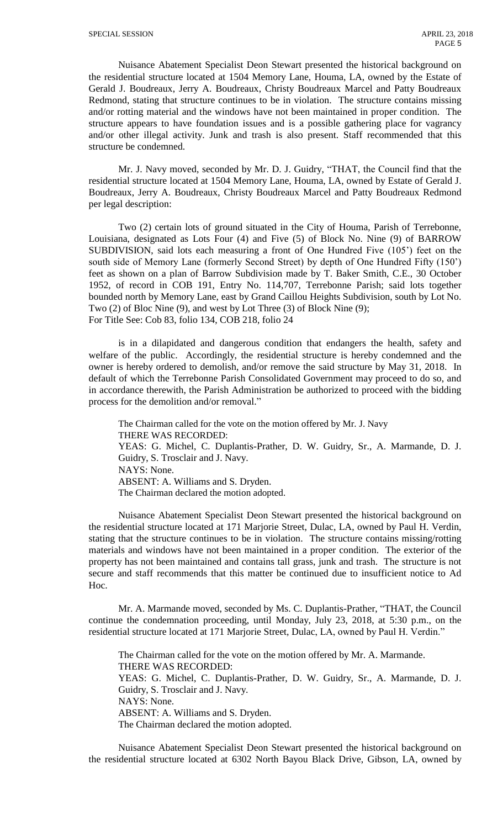Nuisance Abatement Specialist Deon Stewart presented the historical background on the residential structure located at 1504 Memory Lane, Houma, LA, owned by the Estate of Gerald J. Boudreaux, Jerry A. Boudreaux, Christy Boudreaux Marcel and Patty Boudreaux Redmond, stating that structure continues to be in violation. The structure contains missing and/or rotting material and the windows have not been maintained in proper condition. The structure appears to have foundation issues and is a possible gathering place for vagrancy and/or other illegal activity. Junk and trash is also present. Staff recommended that this structure be condemned.

Mr. J. Navy moved, seconded by Mr. D. J. Guidry, "THAT, the Council find that the residential structure located at 1504 Memory Lane, Houma, LA, owned by Estate of Gerald J. Boudreaux, Jerry A. Boudreaux, Christy Boudreaux Marcel and Patty Boudreaux Redmond per legal description:

Two (2) certain lots of ground situated in the City of Houma, Parish of Terrebonne, Louisiana, designated as Lots Four (4) and Five (5) of Block No. Nine (9) of BARROW SUBDIVISION, said lots each measuring a front of One Hundred Five (105') feet on the south side of Memory Lane (formerly Second Street) by depth of One Hundred Fifty (150') feet as shown on a plan of Barrow Subdivision made by T. Baker Smith, C.E., 30 October 1952, of record in COB 191, Entry No. 114,707, Terrebonne Parish; said lots together bounded north by Memory Lane, east by Grand Caillou Heights Subdivision, south by Lot No. Two (2) of Bloc Nine (9), and west by Lot Three (3) of Block Nine (9); For Title See: Cob 83, folio 134, COB 218, folio 24

is in a dilapidated and dangerous condition that endangers the health, safety and welfare of the public. Accordingly, the residential structure is hereby condemned and the owner is hereby ordered to demolish, and/or remove the said structure by May 31, 2018. In default of which the Terrebonne Parish Consolidated Government may proceed to do so, and in accordance therewith, the Parish Administration be authorized to proceed with the bidding process for the demolition and/or removal."

The Chairman called for the vote on the motion offered by Mr. J. Navy THERE WAS RECORDED: YEAS: G. Michel, C. Duplantis-Prather, D. W. Guidry, Sr., A. Marmande, D. J. Guidry, S. Trosclair and J. Navy. NAYS: None. ABSENT: A. Williams and S. Dryden. The Chairman declared the motion adopted.

Nuisance Abatement Specialist Deon Stewart presented the historical background on the residential structure located at 171 Marjorie Street, Dulac, LA, owned by Paul H. Verdin, stating that the structure continues to be in violation. The structure contains missing/rotting materials and windows have not been maintained in a proper condition. The exterior of the property has not been maintained and contains tall grass, junk and trash. The structure is not secure and staff recommends that this matter be continued due to insufficient notice to Ad Hoc.

Mr. A. Marmande moved, seconded by Ms. C. Duplantis-Prather, "THAT, the Council continue the condemnation proceeding, until Monday, July 23, 2018, at 5:30 p.m., on the residential structure located at 171 Marjorie Street, Dulac, LA, owned by Paul H. Verdin."

The Chairman called for the vote on the motion offered by Mr. A. Marmande. THERE WAS RECORDED: YEAS: G. Michel, C. Duplantis-Prather, D. W. Guidry, Sr., A. Marmande, D. J. Guidry, S. Trosclair and J. Navy. NAYS: None. ABSENT: A. Williams and S. Dryden. The Chairman declared the motion adopted.

Nuisance Abatement Specialist Deon Stewart presented the historical background on the residential structure located at 6302 North Bayou Black Drive, Gibson, LA, owned by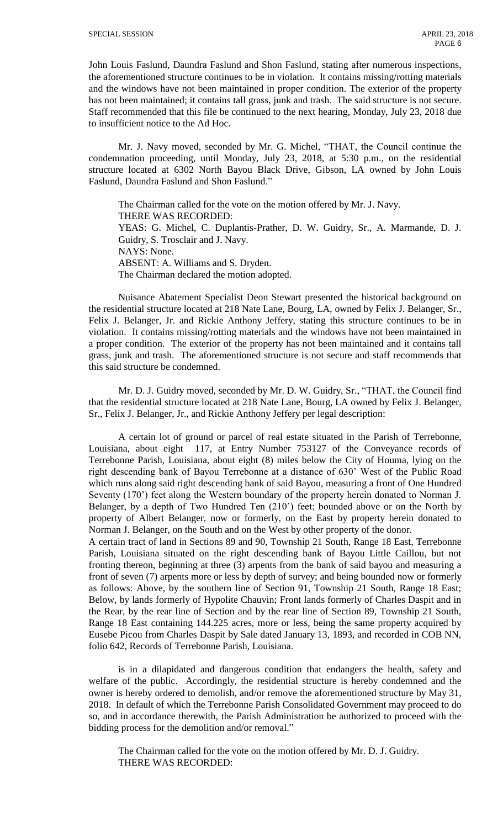John Louis Faslund, Daundra Faslund and Shon Faslund, stating after numerous inspections, the aforementioned structure continues to be in violation. It contains missing/rotting materials and the windows have not been maintained in proper condition. The exterior of the property has not been maintained; it contains tall grass, junk and trash. The said structure is not secure. Staff recommended that this file be continued to the next hearing, Monday, July 23, 2018 due to insufficient notice to the Ad Hoc.

Mr. J. Navy moved, seconded by Mr. G. Michel, "THAT, the Council continue the condemnation proceeding, until Monday, July 23, 2018, at 5:30 p.m., on the residential structure located at 6302 North Bayou Black Drive, Gibson, LA owned by John Louis Faslund, Daundra Faslund and Shon Faslund."

The Chairman called for the vote on the motion offered by Mr. J. Navy. THERE WAS RECORDED: YEAS: G. Michel, C. Duplantis-Prather, D. W. Guidry, Sr., A. Marmande, D. J. Guidry, S. Trosclair and J. Navy. NAYS: None. ABSENT: A. Williams and S. Dryden. The Chairman declared the motion adopted.

Nuisance Abatement Specialist Deon Stewart presented the historical background on the residential structure located at 218 Nate Lane, Bourg, LA, owned by Felix J. Belanger, Sr., Felix J. Belanger, Jr. and Rickie Anthony Jeffery, stating this structure continues to be in violation. It contains missing/rotting materials and the windows have not been maintained in a proper condition. The exterior of the property has not been maintained and it contains tall grass, junk and trash. The aforementioned structure is not secure and staff recommends that this said structure be condemned.

Mr. D. J. Guidry moved, seconded by Mr. D. W. Guidry, Sr., "THAT, the Council find that the residential structure located at 218 Nate Lane, Bourg, LA owned by Felix J. Belanger, Sr., Felix J. Belanger, Jr., and Rickie Anthony Jeffery per legal description:

A certain lot of ground or parcel of real estate situated in the Parish of Terrebonne, Louisiana, about eight 117, at Entry Number 753127 of the Conveyance records of Terrebonne Parish, Louisiana, about eight (8) miles below the City of Houma, lying on the right descending bank of Bayou Terrebonne at a distance of 630' West of the Public Road which runs along said right descending bank of said Bayou, measuring a front of One Hundred Seventy (170') feet along the Western boundary of the property herein donated to Norman J. Belanger, by a depth of Two Hundred Ten (210') feet; bounded above or on the North by property of Albert Belanger, now or formerly, on the East by property herein donated to Norman J. Belanger, on the South and on the West by other property of the donor.

A certain tract of land in Sections 89 and 90, Township 21 South, Range 18 East, Terrebonne Parish, Louisiana situated on the right descending bank of Bayou Little Caillou, but not fronting thereon, beginning at three (3) arpents from the bank of said bayou and measuring a front of seven (7) arpents more or less by depth of survey; and being bounded now or formerly as follows: Above, by the southern line of Section 91, Township 21 South, Range 18 East; Below, by lands formerly of Hypolite Chauvin; Front lands formerly of Charles Daspit and in the Rear, by the rear line of Section and by the rear line of Section 89, Township 21 South, Range 18 East containing 144.225 acres, more or less, being the same property acquired by Eusebe Picou from Charles Daspit by Sale dated January 13, 1893, and recorded in COB NN, folio 642, Records of Terrebonne Parish, Louisiana.

is in a dilapidated and dangerous condition that endangers the health, safety and welfare of the public. Accordingly, the residential structure is hereby condemned and the owner is hereby ordered to demolish, and/or remove the aforementioned structure by May 31, 2018. In default of which the Terrebonne Parish Consolidated Government may proceed to do so, and in accordance therewith, the Parish Administration be authorized to proceed with the bidding process for the demolition and/or removal."

The Chairman called for the vote on the motion offered by Mr. D. J. Guidry. THERE WAS RECORDED: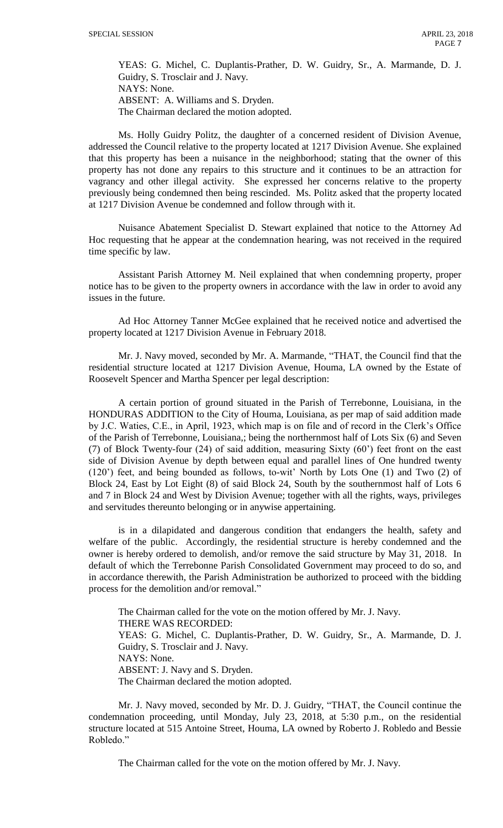YEAS: G. Michel, C. Duplantis-Prather, D. W. Guidry, Sr., A. Marmande, D. J. Guidry, S. Trosclair and J. Navy. NAYS: None. ABSENT: A. Williams and S. Dryden. The Chairman declared the motion adopted.

Ms. Holly Guidry Politz, the daughter of a concerned resident of Division Avenue, addressed the Council relative to the property located at 1217 Division Avenue. She explained that this property has been a nuisance in the neighborhood; stating that the owner of this property has not done any repairs to this structure and it continues to be an attraction for vagrancy and other illegal activity. She expressed her concerns relative to the property previously being condemned then being rescinded. Ms. Politz asked that the property located at 1217 Division Avenue be condemned and follow through with it.

Nuisance Abatement Specialist D. Stewart explained that notice to the Attorney Ad Hoc requesting that he appear at the condemnation hearing, was not received in the required time specific by law.

Assistant Parish Attorney M. Neil explained that when condemning property, proper notice has to be given to the property owners in accordance with the law in order to avoid any issues in the future.

Ad Hoc Attorney Tanner McGee explained that he received notice and advertised the property located at 1217 Division Avenue in February 2018.

Mr. J. Navy moved, seconded by Mr. A. Marmande, "THAT, the Council find that the residential structure located at 1217 Division Avenue, Houma, LA owned by the Estate of Roosevelt Spencer and Martha Spencer per legal description:

A certain portion of ground situated in the Parish of Terrebonne, Louisiana, in the HONDURAS ADDITION to the City of Houma, Louisiana, as per map of said addition made by J.C. Waties, C.E., in April, 1923, which map is on file and of record in the Clerk's Office of the Parish of Terrebonne, Louisiana,; being the northernmost half of Lots Six (6) and Seven (7) of Block Twenty-four (24) of said addition, measuring Sixty (60') feet front on the east side of Division Avenue by depth between equal and parallel lines of One hundred twenty (120') feet, and being bounded as follows, to-wit' North by Lots One (1) and Two (2) of Block 24, East by Lot Eight (8) of said Block 24, South by the southernmost half of Lots 6 and 7 in Block 24 and West by Division Avenue; together with all the rights, ways, privileges and servitudes thereunto belonging or in anywise appertaining.

is in a dilapidated and dangerous condition that endangers the health, safety and welfare of the public. Accordingly, the residential structure is hereby condemned and the owner is hereby ordered to demolish, and/or remove the said structure by May 31, 2018. In default of which the Terrebonne Parish Consolidated Government may proceed to do so, and in accordance therewith, the Parish Administration be authorized to proceed with the bidding process for the demolition and/or removal."

The Chairman called for the vote on the motion offered by Mr. J. Navy. THERE WAS RECORDED: YEAS: G. Michel, C. Duplantis-Prather, D. W. Guidry, Sr., A. Marmande, D. J. Guidry, S. Trosclair and J. Navy. NAYS: None. ABSENT: J. Navy and S. Dryden. The Chairman declared the motion adopted.

Mr. J. Navy moved, seconded by Mr. D. J. Guidry, "THAT, the Council continue the condemnation proceeding, until Monday, July 23, 2018, at 5:30 p.m., on the residential structure located at 515 Antoine Street, Houma, LA owned by Roberto J. Robledo and Bessie Robledo."

The Chairman called for the vote on the motion offered by Mr. J. Navy.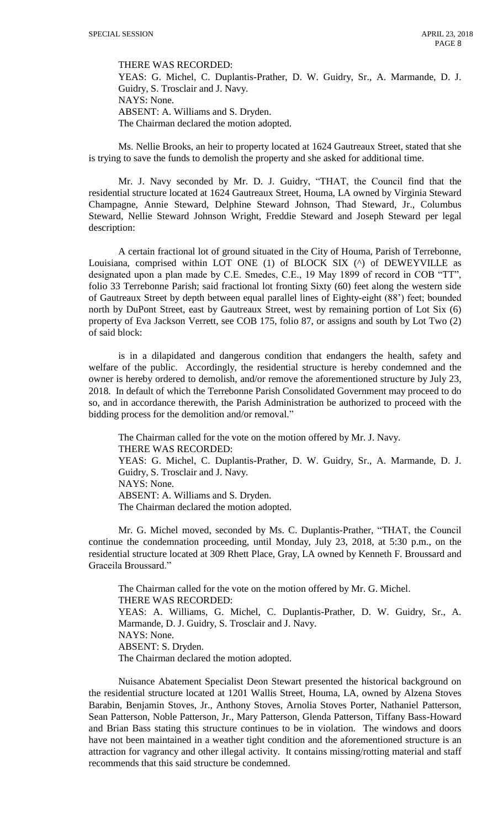THERE WAS RECORDED:

YEAS: G. Michel, C. Duplantis-Prather, D. W. Guidry, Sr., A. Marmande, D. J. Guidry, S. Trosclair and J. Navy. NAYS: None. ABSENT: A. Williams and S. Dryden. The Chairman declared the motion adopted.

Ms. Nellie Brooks, an heir to property located at 1624 Gautreaux Street, stated that she is trying to save the funds to demolish the property and she asked for additional time.

Mr. J. Navy seconded by Mr. D. J. Guidry, "THAT, the Council find that the residential structure located at 1624 Gautreaux Street, Houma, LA owned by Virginia Steward Champagne, Annie Steward, Delphine Steward Johnson, Thad Steward, Jr., Columbus Steward, Nellie Steward Johnson Wright, Freddie Steward and Joseph Steward per legal description:

A certain fractional lot of ground situated in the City of Houma, Parish of Terrebonne, Louisiana, comprised within LOT ONE (1) of BLOCK SIX (^) of DEWEYVILLE as designated upon a plan made by C.E. Smedes, C.E., 19 May 1899 of record in COB "TT", folio 33 Terrebonne Parish; said fractional lot fronting Sixty (60) feet along the western side of Gautreaux Street by depth between equal parallel lines of Eighty-eight (88') feet; bounded north by DuPont Street, east by Gautreaux Street, west by remaining portion of Lot Six (6) property of Eva Jackson Verrett, see COB 175, folio 87, or assigns and south by Lot Two (2) of said block:

is in a dilapidated and dangerous condition that endangers the health, safety and welfare of the public. Accordingly, the residential structure is hereby condemned and the owner is hereby ordered to demolish, and/or remove the aforementioned structure by July 23, 2018. In default of which the Terrebonne Parish Consolidated Government may proceed to do so, and in accordance therewith, the Parish Administration be authorized to proceed with the bidding process for the demolition and/or removal."

The Chairman called for the vote on the motion offered by Mr. J. Navy. THERE WAS RECORDED: YEAS: G. Michel, C. Duplantis-Prather, D. W. Guidry, Sr., A. Marmande, D. J. Guidry, S. Trosclair and J. Navy. NAYS: None. ABSENT: A. Williams and S. Dryden. The Chairman declared the motion adopted.

Mr. G. Michel moved, seconded by Ms. C. Duplantis-Prather, "THAT, the Council continue the condemnation proceeding, until Monday, July 23, 2018, at 5:30 p.m., on the residential structure located at 309 Rhett Place, Gray, LA owned by Kenneth F. Broussard and Graceila Broussard."

The Chairman called for the vote on the motion offered by Mr. G. Michel. THERE WAS RECORDED: YEAS: A. Williams, G. Michel, C. Duplantis-Prather, D. W. Guidry, Sr., A. Marmande, D. J. Guidry, S. Trosclair and J. Navy. NAYS: None. ABSENT: S. Dryden. The Chairman declared the motion adopted.

Nuisance Abatement Specialist Deon Stewart presented the historical background on the residential structure located at 1201 Wallis Street, Houma, LA, owned by Alzena Stoves Barabin, Benjamin Stoves, Jr., Anthony Stoves, Arnolia Stoves Porter, Nathaniel Patterson, Sean Patterson, Noble Patterson, Jr., Mary Patterson, Glenda Patterson, Tiffany Bass-Howard and Brian Bass stating this structure continues to be in violation. The windows and doors have not been maintained in a weather tight condition and the aforementioned structure is an attraction for vagrancy and other illegal activity. It contains missing/rotting material and staff recommends that this said structure be condemned.